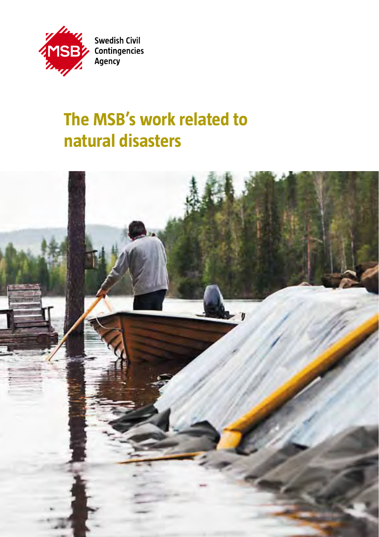

# **The MSB's work related to natural disasters**

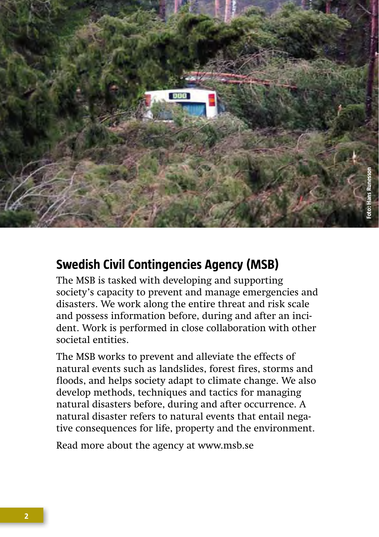

# **Swedish Civil Contingencies Agency (MSB)**

The MSB is tasked with developing and supporting society's capacity to prevent and manage emergencies and disasters. We work along the entire threat and risk scale and possess information before, during and after an incident. Work is performed in close collaboration with other societal entities.

The MSB works to prevent and alleviate the effects of natural events such as landslides, forest fires, storms and floods, and helps society adapt to climate change. We also develop methods, techniques and tactics for managing natural disasters before, during and after occurrence. A natural disaster refers to natural events that entail negative consequences for life, property and the environment.

Read more about the agency at www.msb.se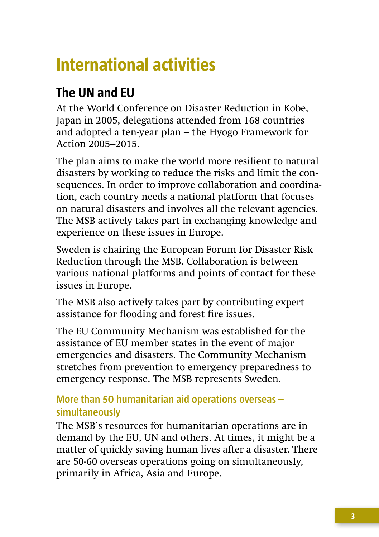# **International activities**

# **The UN and EU**

At the World Conference on Disaster Reduction in Kobe, Japan in 2005, delegations attended from 168 countries and adopted a ten-year plan – the Hyogo Framework for Action 2005–2015.

The plan aims to make the world more resilient to natural disasters by working to reduce the risks and limit the consequences. In order to improve collaboration and coordination, each country needs a national platform that focuses on natural disasters and involves all the relevant agencies. The MSB actively takes part in exchanging knowledge and experience on these issues in Europe.

Sweden is chairing the European Forum for Disaster Risk Reduction through the MSB. Collaboration is between various national platforms and points of contact for these issues in Europe.

The MSB also actively takes part by contributing expert assistance for flooding and forest fire issues.

The EU Community Mechanism was established for the assistance of EU member states in the event of major emergencies and disasters. The Community Mechanism stretches from prevention to emergency preparedness to emergency response. The MSB represents Sweden.

# **More than 50 humanitarian aid operations overseas – simultaneously**

The MSB's resources for humanitarian operations are in demand by the EU, UN and others. At times, it might be a matter of quickly saving human lives after a disaster. There are 50-60 overseas operations going on simultaneously, primarily in Africa, Asia and Europe.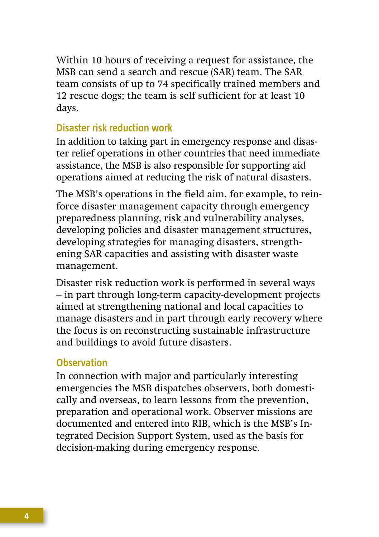Within 10 hours of receiving a request for assistance, the MSB can send a search and rescue (SAR) team. The SAR team consists of up to 74 specifically trained members and 12 rescue dogs; the team is self sufficient for at least 10 days.

#### **Disaster risk reduction work**

In addition to taking part in emergency response and disaster relief operations in other countries that need immediate assistance, the MSB is also responsible for supporting aid operations aimed at reducing the risk of natural disasters.

The MSB's operations in the field aim, for example, to reinforce disaster management capacity through emergency preparedness planning, risk and vulnerability analyses, developing policies and disaster management structures, developing strategies for managing disasters, strengthening SAR capacities and assisting with disaster waste management.

Disaster risk reduction work is performed in several ways – in part through long-term capacity-development projects aimed at strengthening national and local capacities to manage disasters and in part through early recovery where the focus is on reconstructing sustainable infrastructure and buildings to avoid future disasters.

#### **Observation**

In connection with major and particularly interesting emergencies the MSB dispatches observers, both domestically and overseas, to learn lessons from the prevention, preparation and operational work. Observer missions are documented and entered into RIB, which is the MSB's Integrated Decision Support System, used as the basis for decision-making during emergency response.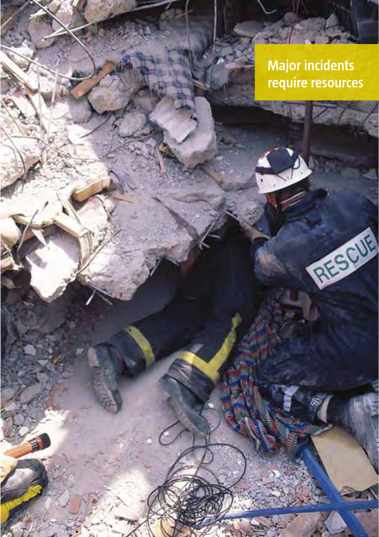**Major incidents require resources**

RESOUR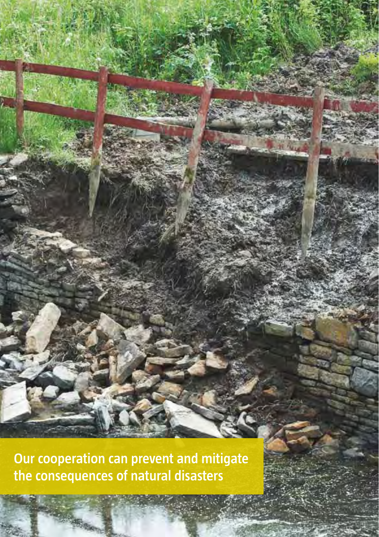**Our cooperation can prevent and mitigate the consequences of natural disasters**

**Strict**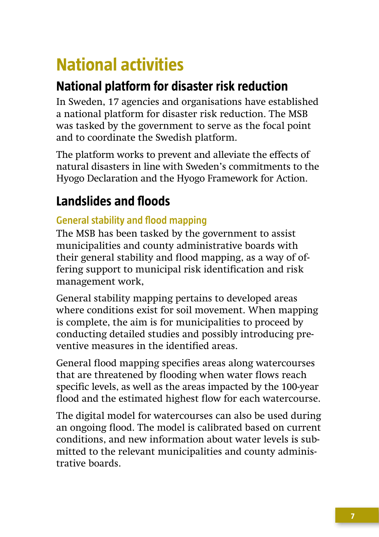# **National activities**

# **National platform for disaster risk reduction**

In Sweden, 17 agencies and organisations have established a national platform for disaster risk reduction. The MSB was tasked by the government to serve as the focal point and to coordinate the Swedish platform.

The platform works to prevent and alleviate the effects of natural disasters in line with Sweden's commitments to the Hyogo Declaration and the Hyogo Framework for Action.

# **Landslides and floods**

# **General stability and flood mapping**

The MSB has been tasked by the government to assist municipalities and county administrative boards with their general stability and flood mapping, as a way of offering support to municipal risk identification and risk management work,

General stability mapping pertains to developed areas where conditions exist for soil movement. When mapping is complete, the aim is for municipalities to proceed by conducting detailed studies and possibly introducing preventive measures in the identified areas.

General flood mapping specifies areas along watercourses that are threatened by flooding when water flows reach specific levels, as well as the areas impacted by the 100-year flood and the estimated highest flow for each watercourse.

The digital model for watercourses can also be used during an ongoing flood. The model is calibrated based on current conditions, and new information about water levels is submitted to the relevant municipalities and county administrative boards.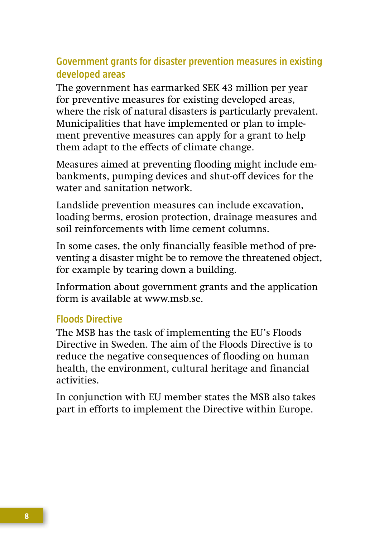## **Government grants for disaster prevention measures in existing developed areas**

The government has earmarked SEK 43 million per year for preventive measures for existing developed areas, where the risk of natural disasters is particularly prevalent. Municipalities that have implemented or plan to implement preventive measures can apply for a grant to help them adapt to the effects of climate change.

Measures aimed at preventing flooding might include embankments, pumping devices and shut-off devices for the water and sanitation network.

Landslide prevention measures can include excavation, loading berms, erosion protection, drainage measures and soil reinforcements with lime cement columns.

In some cases, the only financially feasible method of preventing a disaster might be to remove the threatened object, for example by tearing down a building.

Information about government grants and the application form is available at www.msb.se.

### **Floods Directive**

The MSB has the task of implementing the EU's Floods Directive in Sweden. The aim of the Floods Directive is to reduce the negative consequences of flooding on human health, the environment, cultural heritage and financial activities.

In conjunction with EU member states the MSB also takes part in efforts to implement the Directive within Europe.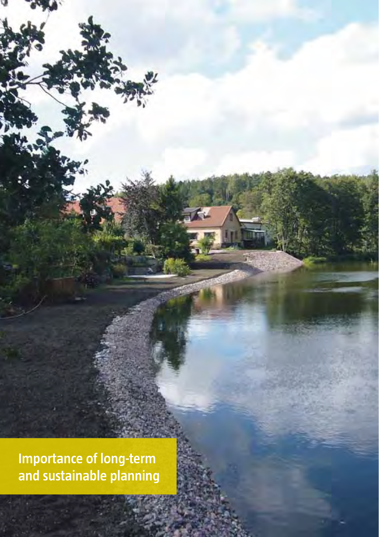**Importance of long-term and sustainable planning**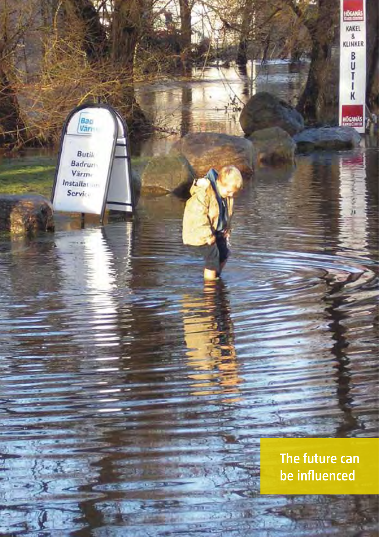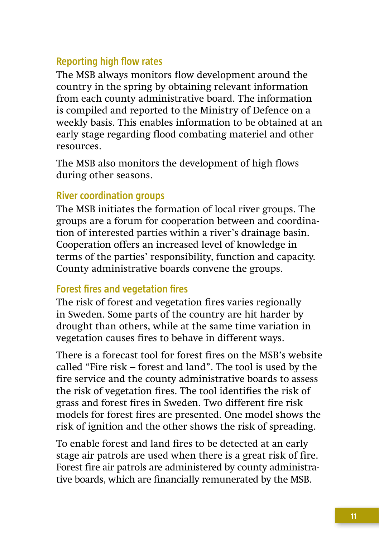## **Reporting high flow rates**

The MSB always monitors flow development around the country in the spring by obtaining relevant information from each county administrative board. The information is compiled and reported to the Ministry of Defence on a weekly basis. This enables information to be obtained at an early stage regarding flood combating materiel and other resources.

The MSB also monitors the development of high flows during other seasons.

### **River coordination groups**

The MSB initiates the formation of local river groups. The groups are a forum for cooperation between and coordination of interested parties within a river's drainage basin. Cooperation offers an increased level of knowledge in terms of the parties' responsibility, function and capacity. County administrative boards convene the groups.

### **Forest fires and vegetation fires**

The risk of forest and vegetation fires varies regionally in Sweden. Some parts of the country are hit harder by drought than others, while at the same time variation in vegetation causes fires to behave in different ways.

There is a forecast tool for forest fires on the MSB's website called "Fire risk – forest and land". The tool is used by the fire service and the county administrative boards to assess the risk of vegetation fires. The tool identifies the risk of grass and forest fires in Sweden. Two different fire risk models for forest fires are presented. One model shows the risk of ignition and the other shows the risk of spreading.

To enable forest and land fires to be detected at an early stage air patrols are used when there is a great risk of fire. Forest fire air patrols are administered by county administrative boards, which are financially remunerated by the MSB.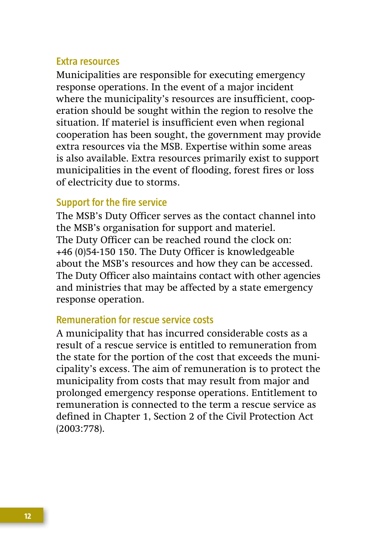#### **Extra resources**

Municipalities are responsible for executing emergency response operations. In the event of a major incident where the municipality's resources are insufficient, cooperation should be sought within the region to resolve the situation. If materiel is insufficient even when regional cooperation has been sought, the government may provide extra resources via the MSB. Expertise within some areas is also available. Extra resources primarily exist to support municipalities in the event of flooding, forest fires or loss of electricity due to storms.

#### **Support for the fire service**

The MSB's Duty Officer serves as the contact channel into the MSB's organisation for support and materiel. The Duty Officer can be reached round the clock on: +46 (0)54-150 150. The Duty Officer is knowledgeable about the MSB's resources and how they can be accessed. The Duty Officer also maintains contact with other agencies and ministries that may be affected by a state emergency response operation.

#### **Remuneration for rescue service costs**

A municipality that has incurred considerable costs as a result of a rescue service is entitled to remuneration from the state for the portion of the cost that exceeds the municipality's excess. The aim of remuneration is to protect the municipality from costs that may result from major and prolonged emergency response operations. Entitlement to remuneration is connected to the term a rescue service as defined in Chapter 1, Section 2 of the Civil Protection Act (2003:778).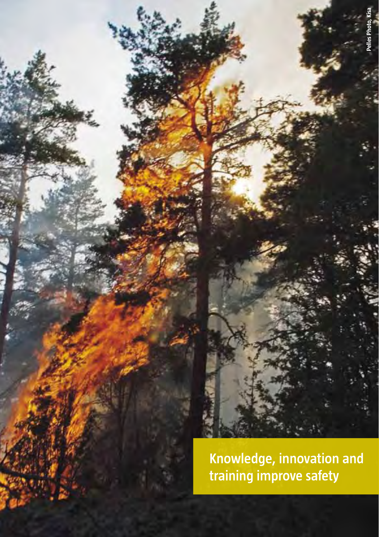

**Knowledge, innovation and training improve safety**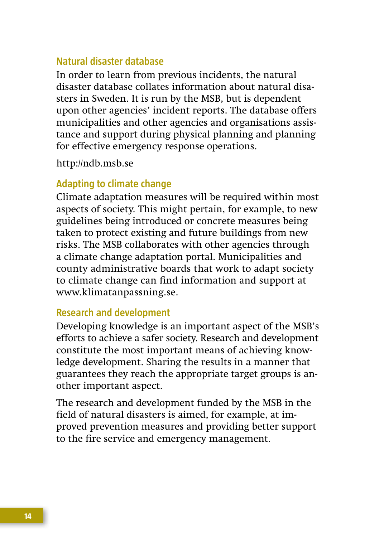#### **Natural disaster database**

In order to learn from previous incidents, the natural disaster database collates information about natural disasters in Sweden. It is run by the MSB, but is dependent upon other agencies' incident reports. The database offers municipalities and other agencies and organisations assistance and support during physical planning and planning for effective emergency response operations.

http://ndb.msb.se

#### **Adapting to climate change**

Climate adaptation measures will be required within most aspects of society. This might pertain, for example, to new guidelines being introduced or concrete measures being taken to protect existing and future buildings from new risks. The MSB collaborates with other agencies through a climate change adaptation portal. Municipalities and county administrative boards that work to adapt society to climate change can find information and support at www.klimatanpassning.se.

#### **Research and development**

Developing knowledge is an important aspect of the MSB's efforts to achieve a safer society. Research and development constitute the most important means of achieving knowledge development. Sharing the results in a manner that guarantees they reach the appropriate target groups is another important aspect.

The research and development funded by the MSB in the field of natural disasters is aimed, for example, at improved prevention measures and providing better support to the fire service and emergency management.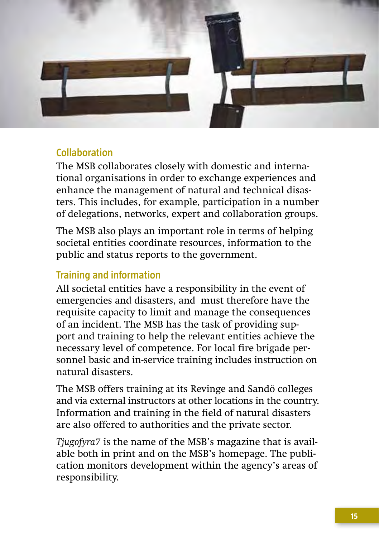

#### **Collaboration**

The MSB collaborates closely with domestic and international organisations in order to exchange experiences and enhance the management of natural and technical disasters. This includes, for example, participation in a number of delegations, networks, expert and collaboration groups.

The MSB also plays an important role in terms of helping societal entities coordinate resources, information to the public and status reports to the government.

## **Training and information**

All societal entities have a responsibility in the event of emergencies and disasters, and must therefore have the requisite capacity to limit and manage the consequences of an incident. The MSB has the task of providing support and training to help the relevant entities achieve the necessary level of competence. For local fire brigade personnel basic and in-service training includes instruction on natural disasters.

The MSB offers training at its Revinge and Sandö colleges and via external instructors at other locations in the country. Information and training in the field of natural disasters are also offered to authorities and the private sector.

*Tjugofyra7* is the name of the MSB's magazine that is available both in print and on the MSB's homepage. The publication monitors development within the agency's areas of responsibility.